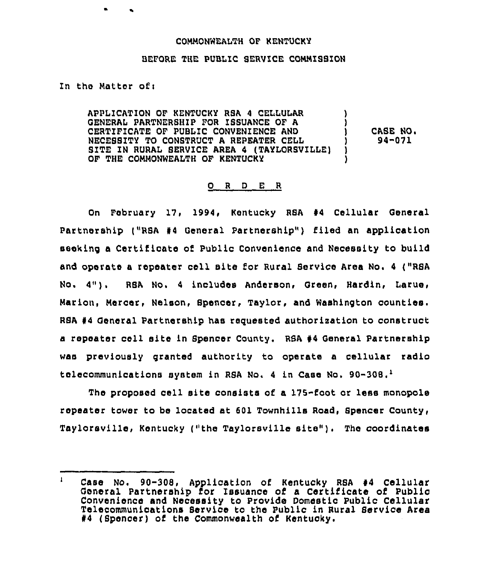## COMMONWEALTH OF 'KENTUCKY

## BEFORE THE PUBLIC SERVICE COMMISSION

In the Matter of:

APPLICATION OF KENTUCKY RSA 4 CELLULAR GENERAL PARTNERBHIP FOR ISSUANCE OF A CERTIFICATE OF PUBLIC CONVENIENCE AND NECEBSITY TO CONBTRUCT A REPEATER CELL BITE IN RURAL SERVICE AREA 4 (TAYIORSVILLE) OF THE COMMONWEALTH OF KENTUCKY ) ) CASE NO. 94-071 1

## 0 <sup>R</sup> <sup>D</sup> E <sup>R</sup>

On February 17, 1994, Kentucky RSA 44 Cellular General Partnership ("RSA #4 General Partnership") filed an application seeking a Certificate of Public Convenience and Necessity to build and operate <sup>a</sup> repeater cell site for Rural Service Area No. <sup>4</sup> ("RSA No. 4"). RSA No. <sup>4</sup> includes Anderson, Green, Hardin, Larue, Marion, Mercer, Nelson, Spencer, Taylor, and Washington counties. RBA 44 General Partnership has reguested authorization to construct a repeater cell site in Spencer County. RSA <sup>44</sup> General Partnership was previously granted authority to operate a cellular radio telecommunications system in RSA No. 4 in Case No. 90-308

The proposed cell site consists of a 175-foot or less monopole repeater tower to be located at 601 Townhills Road, Spencer County, Taylorsville, Kentucky ("the Taylorsville site" ). The coordinates

 $\mathbf{1}$ Case No. 90-308, Application of Kentucky RSA #4 Cellular General Partnership for Issuance of a Certificate of Public Convenience and Necessity tc Provide Domestic Public Cellular Telecommunications Service to the Public in Rural Service Area #4 (Spencer) of the Commonwealth of Kentucky.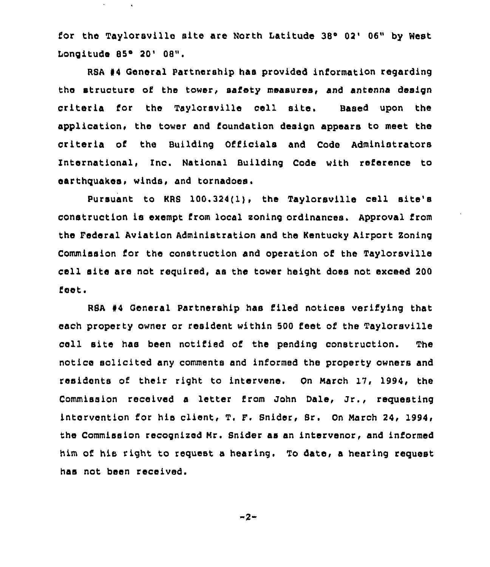for the Taylorsville site are North Latitude 38° 02' 06" by West Longitude 85° 20' 08".

RSA #4 General Partnership has provided information regarding the structure of the tower, safety measures, and antenna design criteria for the Taylorsville cell site. Based upon the application, the tower and foundation design appears to meet the criteria of the Building Officials and Code Administrators International, Inc. National Building Code with reference to earthquakes, winds, and tornadoes.

Pursuant to KRS 100.324(1), the Taylorsville cell site's construction is exempt from local soning ordinances. Approval from the Federal Aviation Administration and the Kentucky Airport Zoning Commission for the construction and operation of the Taylorsville cell site are not required, as the tower height does not exceed 200 feet.

RSA 94 General Partnership has filed notices verifying that each property owner or resident within 500 feet of the Taylorsville cell site has been notified of the pending construction. The notice solicited any comments and informed the property owners and residents of their right to intervene. On March 17, 1994, the Commission received <sup>a</sup> letter from John Dale, Jr., requesting intervention for his client, T. F. Snider, Br. On March 24, 1994, the Commission recognized Mr. Snider as an intervenor, and informed him of his right to request a hearing. To date, a hearing request has not been received.

 $-2-$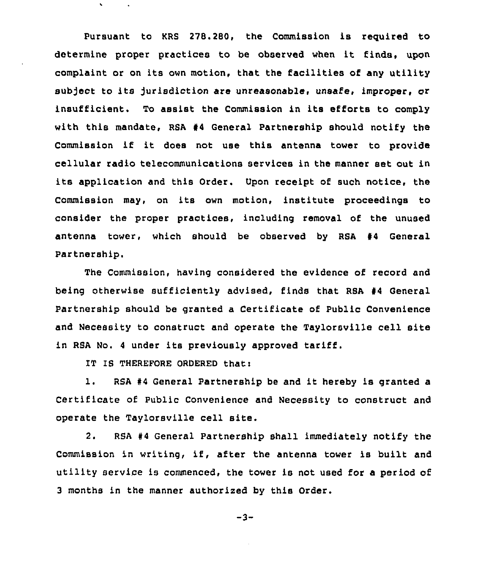pursuant to KRS 278.280, the Commission is reguired to determine proper practices to be observed when it finds, upon complaint or on its own motion, that the facilities of any utility subject to its jurisdiction are unreasonable, unsafe, improper, or insufficient. To assist the Commission in its efforts to comply with this mandate, RSA  $#4$  General Partnership should notify the Commission if it does not use this antenna tower to provide cellular radio telecommunications services in the manner set out in its application and this Order. Upon receipt of such notice, the Commission may, on its own motion, institute proceedings to consider the proper practices, including removal of the unused antenna tower, which should be observed by RSA 44 General Partnership.

The Commission, having considered the evidence of record and being otherwise sufficiently advised, finds that RSA 44 General partnership should be granted a certificate of public Convenience and Necessity to construct and operate the Taylorsville cell site in RSA No. <sup>4</sup> under its previously approved tariff.

IT IS THEREFORE ORDERED that:

 $\mathbf{v}$ 

1. RSA <sup>44</sup> General Partnership be and it hereby is granted <sup>a</sup> Certificate of Public Convenience and Necessity to construct and operate the Taylorsville cell site.

2. RSA <sup>44</sup> General Partnership shall immediately notify the Commission in writing, if, after the antenna tower is built and utility service is commenced, the tower is not used for a period of 3 months in the manner authorised by this Order.

 $-3-$